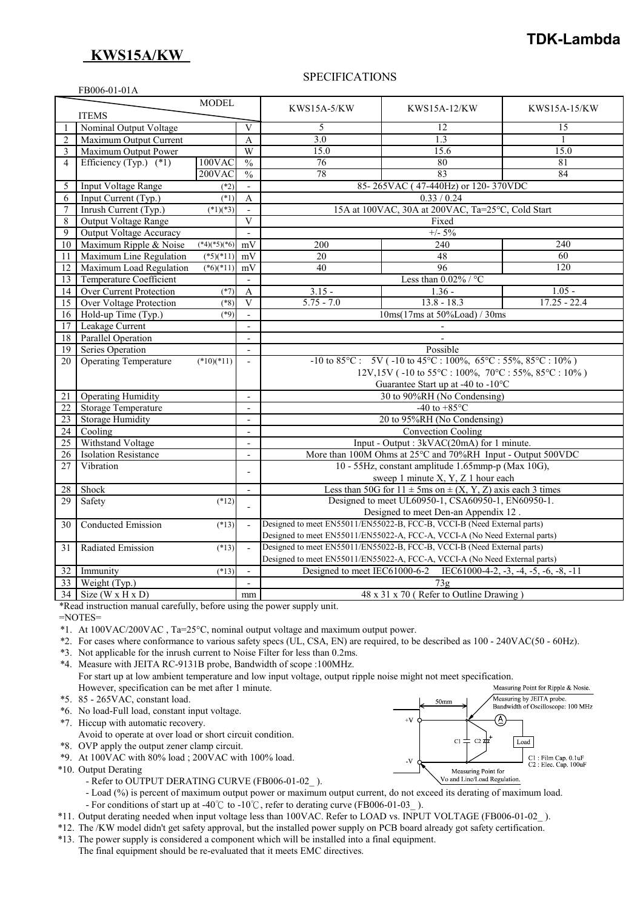## **KWS15A/KW**

# **TDK-Lambda**

### SPECIFICATIONS

|                | FB006-01-01A                   |                |                         |                                                                            |                                                                            |                     |
|----------------|--------------------------------|----------------|-------------------------|----------------------------------------------------------------------------|----------------------------------------------------------------------------|---------------------|
|                |                                | <b>MODEL</b>   |                         |                                                                            |                                                                            |                     |
|                | <b>ITEMS</b>                   |                |                         | <b>KWS15A-5/KW</b>                                                         | <b>KWS15A-12/KW</b>                                                        | <b>KWS15A-15/KW</b> |
|                | Nominal Output Voltage         |                | V                       | 5                                                                          | 12                                                                         | 15                  |
| $\overline{2}$ | Maximum Output Current         |                | A                       | 3.0                                                                        | 1.3                                                                        | 1                   |
| 3              | Maximum Output Power           |                | $\overline{W}$          | 15.0                                                                       | 15.6                                                                       | 15.0                |
| $\overline{4}$ | Efficiency (Typ.) $(*1)$       | 100VAC         | $\frac{0}{0}$           | 76                                                                         | 80                                                                         | 81                  |
|                |                                | $200$ VAC      | $\frac{0}{0}$           | 78                                                                         | 83                                                                         | 84                  |
| 5              | Input Voltage Range            | $(*2)$         | $\overline{a}$          |                                                                            | 85-265VAC (47-440Hz) or 120-370VDC                                         |                     |
| 6              | Input Current (Typ.)           | $(*1)$         | $\mathbf{A}$            |                                                                            | 0.33 / 0.24                                                                |                     |
| $\overline{7}$ | Inrush Current (Typ.)          | $(*1)(*3)$     |                         |                                                                            | 15A at 100VAC, 30A at 200VAC, Ta=25°C, Cold Start                          |                     |
| 8              | Output Voltage Range           |                | V                       |                                                                            | Fixed                                                                      |                     |
| 9              | <b>Output Voltage Accuracy</b> |                |                         |                                                                            | $+/- 5\%$                                                                  |                     |
| 10             | Maximum Ripple & Noise         | $(*4)(*5)(*6)$ | mV                      | 200                                                                        | 240                                                                        | 240                 |
| 11             | Maximum Line Regulation        | $(*5)(*11)$    | mV                      | 20                                                                         | 48                                                                         | 60                  |
| 12             | Maximum Load Regulation        | $(*6)(*11)$    | mV                      | 40                                                                         | 96                                                                         | 120                 |
| 13             | <b>Temperature Coefficient</b> |                | $\blacksquare$          |                                                                            | Less than $0.02\%$ / °C                                                    |                     |
| 14             | <b>Over Current Protection</b> | $(*7)$         | A                       | $3.15 -$                                                                   | $1.36 -$                                                                   | $1.05 -$            |
| 15             | <b>Over Voltage Protection</b> | $(*8)$         | $\overline{\mathbf{V}}$ | $5.75 - 7.0$                                                               | $13.8 - 18.3$                                                              | $17.25 - 22.4$      |
| 16             | Hold-up Time (Typ.)            | $(*9)$         | $\overline{a}$          | 10ms(17ms at 50%Load) / 30ms                                               |                                                                            |                     |
| 17             | Leakage Current                |                | $\overline{a}$          |                                                                            |                                                                            |                     |
| 18             | <b>Parallel Operation</b>      |                |                         |                                                                            |                                                                            |                     |
| 19             | Series Operation               |                | $\overline{a}$          | Possible                                                                   |                                                                            |                     |
| 20             | <b>Operating Temperature</b>   | $(*10)(*11)$   | $\overline{a}$          | $-10$ to 85°C: 5V ( $-10$ to 45°C: $100\%$ , 65°C: 55%, 85°C: $10\%$ )     |                                                                            |                     |
|                |                                |                |                         | 12V,15V (-10 to 55°C: 100%, 70°C: 55%, 85°C: 10%)                          |                                                                            |                     |
|                |                                |                |                         | Guarantee Start up at -40 to -10°C                                         |                                                                            |                     |
| 21             | <b>Operating Humidity</b>      |                | $\overline{a}$          | 30 to 90%RH (No Condensing)                                                |                                                                            |                     |
| 22             | Storage Temperature            |                | L,                      | -40 to $+85^{\circ}$ C                                                     |                                                                            |                     |
| 23             | <b>Storage Humidity</b>        |                |                         | 20 to 95%RH (No Condensing)                                                |                                                                            |                     |
| 24             | Cooling                        |                | $\overline{a}$          | <b>Convection Cooling</b>                                                  |                                                                            |                     |
| 25             | Withstand Voltage              |                | $\overline{a}$          | Input - Output : 3kVAC(20mA) for 1 minute.                                 |                                                                            |                     |
| 26             | <b>Isolation Resistance</b>    |                | L,                      | More than 100M Ohms at 25°C and 70%RH Input - Output 500VDC                |                                                                            |                     |
| 27             | Vibration                      |                | $\overline{a}$          | 10 - 55Hz, constant amplitude 1.65mmp-p (Max 10G),                         |                                                                            |                     |
|                |                                |                |                         |                                                                            | sweep 1 minute X, Y, Z 1 hour each                                         |                     |
| $28\,$         | Shock                          |                |                         | Less than 50G for $11 \pm 5$ ms on $\pm (X, Y, Z)$ axis each 3 times       |                                                                            |                     |
| 29             | Safety                         | $(*12)$        |                         |                                                                            | Designed to meet UL60950-1, CSA60950-1, EN60950-1.                         |                     |
|                |                                |                |                         |                                                                            | Designed to meet Den-an Appendix 12.                                       |                     |
| 30             | <b>Conducted Emission</b>      | $(*13)$        |                         |                                                                            | Designed to meet EN55011/EN55022-B, FCC-B, VCCI-B (Need External parts)    |                     |
|                |                                |                |                         | Designed to meet EN55011/EN55022-A, FCC-A, VCCI-A (No Need External parts) |                                                                            |                     |
| 31             | Radiated Emission              | $(*13)$        | $\sim$                  | Designed to meet EN55011/EN55022-B, FCC-B, VCCI-B (Need External parts)    |                                                                            |                     |
|                |                                |                |                         |                                                                            | Designed to meet EN55011/EN55022-A, FCC-A, VCCI-A (No Need External parts) |                     |
| 32             | Immunity                       | (13)           |                         | Designed to meet IEC61000-6-2 IEC61000-4-2, -3, -4, -5, -6, -8, -11        |                                                                            |                     |
| 33             | Weight $(Typ.)$                |                | $\overline{a}$          | 73g                                                                        |                                                                            |                     |
|                | $34$ Size (W x H x D)          |                | mm                      | 48 x 31 x 70 (Refer to Outline Drawing)                                    |                                                                            |                     |

\*Read instruction manual carefully, before using the power supply unit.

=NOTES=

\*1. At 100VAC/200VAC , Ta=25°C, nominal output voltage and maximum output power.

\*2. For cases where conformance to various safety specs (UL, CSA, EN) are required, to be described as 100 - 240VAC(50 - 60Hz).

\*3. Not applicable for the inrush current to Noise Filter for less than 0.2ms.

\*4. Measure with JEITA RC-9131B probe, Bandwidth of scope :100MHz. For start up at low ambient temperature and low input voltage, output ripple noise might not meet specification. However, specification can be met after 1 minute.

- \*5. 85 265VAC, constant load.
- \*6. No load-Full load, constant input voltage.

\*7. Hiccup with automatic recovery.

Avoid to operate at over load or short circuit condition.

\*8. OVP apply the output zener clamp circuit.

\*9. At 100VAC with 80% load ; 200VAC with 100% load.

\*10. Output Derating

- Refer to OUTPUT DERATING CURVE (FB006-01-02).

 - Load (%) is percent of maximum output power or maximum output current, do not exceed its derating of maximum load. - For conditions of start up at -40℃ to -10℃, refer to derating curve (FB006-01-03\_ ).

\*11. Output derating needed when input voltage less than 100VAC. Refer to LOAD vs. INPUT VOLTAGE (FB006-01-02\_ ).

- 
- \*12. The /KW model didn't get safety approval, but the installed power supply on PCB board already got safety certification. \*13. The power supply is considered a component which will be installed into a final equipment.

The final equipment should be re-evaluated that it meets EMC directives.

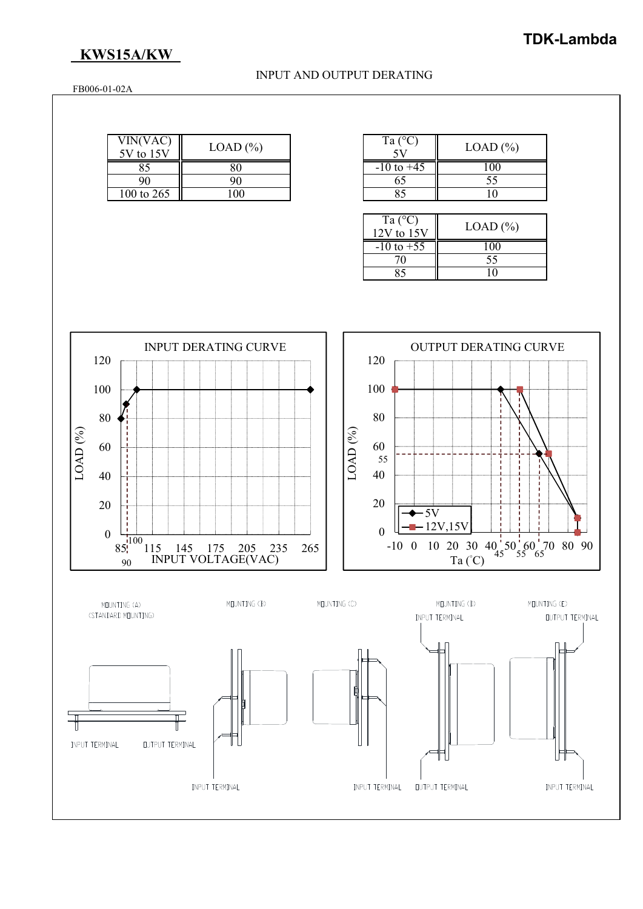# **KWS15A/KW**

### INPUT AND OUTPUT DERATING

FB006-01-02A

| VIN(VAC)<br>5V to 15V | $LOAD$ $%$ | Ta $(C)$       | $LOAD$ (%) |
|-----------------------|------------|----------------|------------|
| 85                    |            | $-10$ to $+45$ | 100        |
| 90                    |            |                | υJ         |
| 100 to 265            | 00         |                |            |

| Ta $(^{\circ}C)$      | LOAD (%) |
|-----------------------|----------|
| $-10 \text{ to } +45$ |          |
| 65                    | 55       |
|                       |          |

| Ta $(^{\circ}C)$<br>$12V$ to $15V$ | $LOAD$ $%$ |
|------------------------------------|------------|
|                                    |            |
| $-10 \text{ to } +55$              | 1 ( ) ( )  |
|                                    |            |
| 70                                 | 55         |
|                                    |            |
|                                    |            |
|                                    |            |